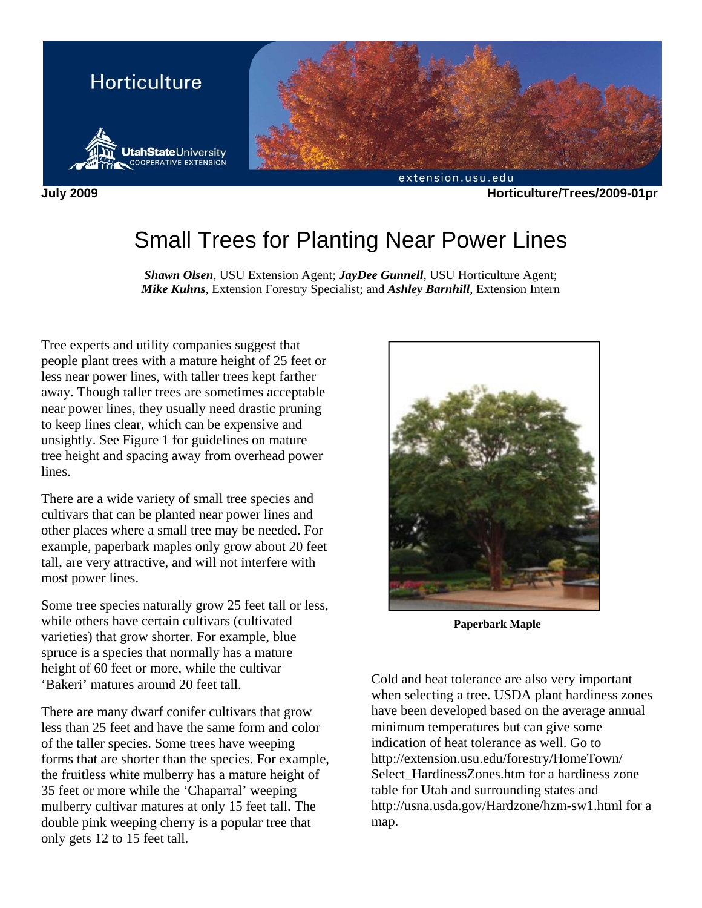

**July 2009 Horticulture/Trees/2009-01pr** 

# Small Trees for Planting Near Power Lines

*Shawn Olsen*, USU Extension Agent; *JayDee Gunnell*, USU Horticulture Agent; *Mike Kuhns*, Extension Forestry Specialist; and *Ashley Barnhill*, Extension Intern

Tree experts and utility companies suggest that people plant trees with a mature height of 25 feet or less near power lines, with taller trees kept farther away. Though taller trees are sometimes acceptable near power lines, they usually need drastic pruning to keep lines clear, which can be expensive and unsightly. See Figure 1 for guidelines on mature tree height and spacing away from overhead power lines.

There are a wide variety of small tree species and cultivars that can be planted near power lines and other places where a small tree may be needed. For example, paperbark maples only grow about 20 feet tall, are very attractive, and will not interfere with most power lines.

Some tree species naturally grow 25 feet tall or less, while others have certain cultivars (cultivated varieties) that grow shorter. For example, blue spruce is a species that normally has a mature height of 60 feet or more, while the cultivar 'Bakeri' matures around 20 feet tall.

There are many dwarf conifer cultivars that grow less than 25 feet and have the same form and color of the taller species. Some trees have weeping forms that are shorter than the species. For example, the fruitless white mulberry has a mature height of 35 feet or more while the 'Chaparral' weeping mulberry cultivar matures at only 15 feet tall. The double pink weeping cherry is a popular tree that only gets 12 to 15 feet tall.



**Paperbark Maple** 

Cold and heat tolerance are also very important when selecting a tree. USDA plant hardiness zones have been developed based on the average annual minimum temperatures but can give some indication of heat tolerance as well. Go to http://extension.usu.edu/forestry/HomeTown/ Select\_HardinessZones.htm for a hardiness zone table for Utah and surrounding states and http://usna.usda.gov/Hardzone/hzm-sw1.html for a map.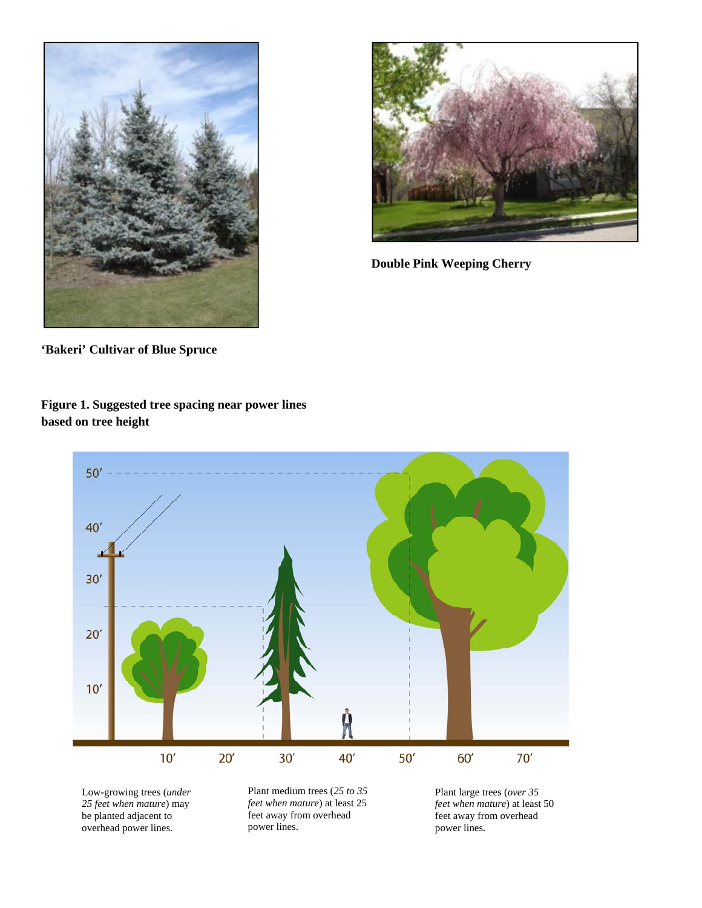



**Double Pink Weeping Cherry** 

**'Bakeri' Cultivar of Blue Spruce** 

**Figure 1. Suggested tree spacing near power lines based on tree height** 



be planted adjacent to overhead power lines.

feet away from overhead power lines.

feet away from overhead power lines.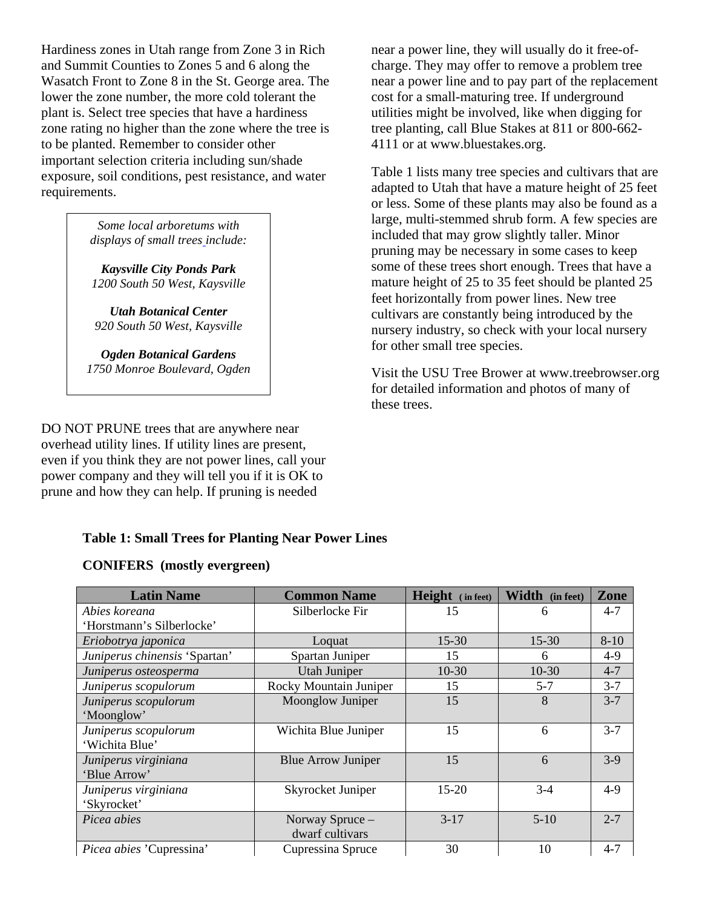Hardiness zones in Utah range from Zone 3 in Rich and Summit Counties to Zones 5 and 6 along the Wasatch Front to Zone 8 in the St. George area. The lower the zone number, the more cold tolerant the plant is. Select tree species that have a hardiness zone rating no higher than the zone where the tree is to be planted. Remember to consider other important selection criteria including sun/shade exposure, soil conditions, pest resistance, and water requirements.

> *Some local arboretums with displays of small trees include:*

*Kaysville City Ponds Park 1200 South 50 West, Kaysville* 

*Utah Botanical Center 920 South 50 West, Kaysville* 

*Ogden Botanical Gardens 1750 Monroe Boulevard, Ogden* 

DO NOT PRUNE trees that are anywhere near overhead utility lines. If utility lines are present, even if you think they are not power lines, call your power company and they will tell you if it is OK to prune and how they can help. If pruning is needed

# **Table 1: Small Trees for Planting Near Power Lines**

### **CONIFERS (mostly evergreen)**

**Latin Name Common Name Height ( in feet) Width (in feet) Zone** *Abies koreana*  'Horstmann's Silberlocke' Silberlocke Fir 15 15 6 4-7 *Eriobotrya japonica* 15-30 15-30 8-10 *Juniperus chinensis* 'Spartan' Spartan Juniper 15 6 4-9 *Juniperus osteosperma* 10-30 10-30 10-30 10-30 14-7 *Juniperus scopulorum* | Rocky Mountain Juniper | 15 | 5-7 | 3-7 *Juniperus scopulorum* 'Moonglow' Moonglow Juniper 15 8 3-7 *Juniperus scopulorum*  'Wichita Blue' Wichita Blue Juniper | 15 | 6 | 3-7 *Juniperus virginiana*  'Blue Arrow' Blue Arrow Juniper  $\begin{array}{|c|c|c|c|c|} \hline 15 & 6 & 3-9 \\ \hline \end{array}$ *Juniperus virginiana* 'Skyrocket' Skyrocket Juniper 15-20 3-4 4-9 *Picea abies* Norway Spruce – dwarf cultivars 3-17 5-10 2-7 *Picea abies* 'Cupressina' Cupressina Spruce 30 10 4-7

near a power line, they will usually do it free-ofcharge. They may offer to remove a problem tree near a power line and to pay part of the replacement cost for a small-maturing tree. If underground utilities might be involved, like when digging for tree planting, call Blue Stakes at 811 or 800-662- 4111 or at www.bluestakes.org.

Table 1 lists many tree species and cultivars that are adapted to Utah that have a mature height of 25 feet or less. Some of these plants may also be found as a large, multi-stemmed shrub form. A few species are included that may grow slightly taller. Minor pruning may be necessary in some cases to keep some of these trees short enough. Trees that have a mature height of 25 to 35 feet should be planted 25 feet horizontally from power lines. New tree cultivars are constantly being introduced by the nursery industry, so check with your local nursery for other small tree species.

Visit the USU Tree Brower at www.treebrowser.org for detailed information and photos of many of these trees.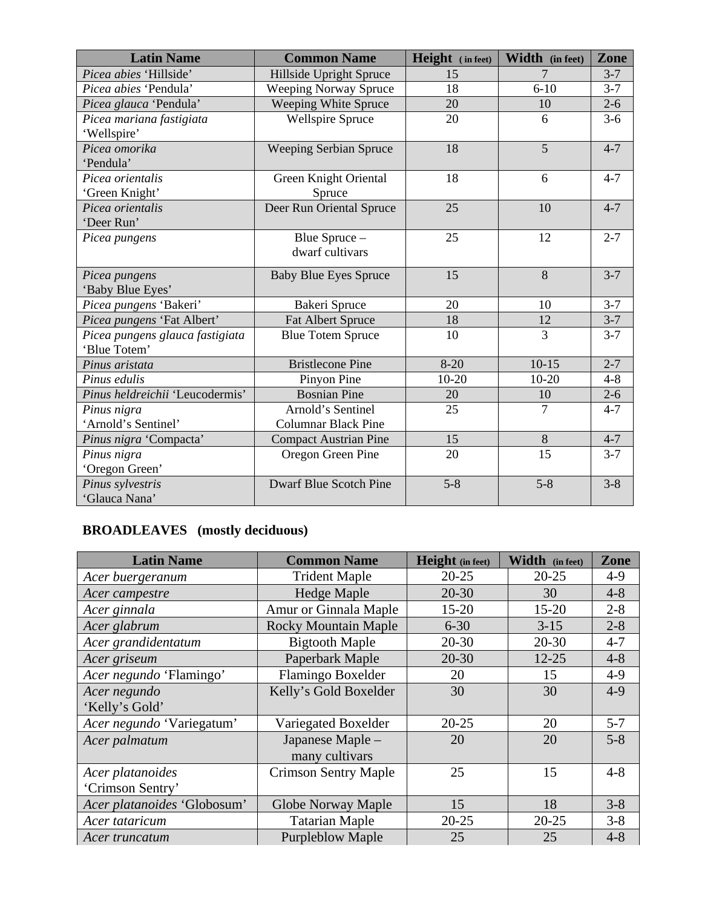| <b>Latin Name</b>               | <b>Common Name</b>            | Height (in feet) | Width (in feet) | <b>Zone</b> |
|---------------------------------|-------------------------------|------------------|-----------------|-------------|
| Picea abies 'Hillside'          | Hillside Upright Spruce       | 15               | 7               | $3 - 7$     |
| <i>Picea abies</i> 'Pendula'    | <b>Weeping Norway Spruce</b>  | 18               | $6 - 10$        | $3 - 7$     |
| Picea glauca 'Pendula'          | Weeping White Spruce          | 20               | 10              | $2 - 6$     |
| Picea mariana fastigiata        | <b>Wellspire Spruce</b>       | 20               | 6               | $3-6$       |
| 'Wellspire'                     |                               |                  |                 |             |
| Picea omorika                   | <b>Weeping Serbian Spruce</b> | 18               | 5               | $4 - 7$     |
| 'Pendula'                       |                               |                  |                 |             |
| Picea orientalis                | Green Knight Oriental         | 18               | 6               | $4 - 7$     |
| 'Green Knight'                  | Spruce                        |                  |                 |             |
| Picea orientalis                | Deer Run Oriental Spruce      | 25               | 10              | $4 - 7$     |
| 'Deer Run'                      |                               |                  |                 |             |
| Picea pungens                   | Blue Spruce -                 | 25               | 12              | $2 - 7$     |
|                                 | dwarf cultivars               |                  |                 |             |
| Picea pungens                   | <b>Baby Blue Eyes Spruce</b>  | 15               | 8               | $3 - 7$     |
| 'Baby Blue Eyes'                |                               |                  |                 |             |
| Picea pungens 'Bakeri'          | Bakeri Spruce                 | 20               | 10              | $3 - 7$     |
| Picea pungens 'Fat Albert'      | <b>Fat Albert Spruce</b>      | 18               | 12              | $3 - 7$     |
| Picea pungens glauca fastigiata | <b>Blue Totem Spruce</b>      | 10               | 3               | $3 - 7$     |
| 'Blue Totem'                    |                               |                  |                 |             |
| Pinus aristata                  | <b>Bristlecone Pine</b>       | $8-20$           | $10-15$         | $2 - 7$     |
| Pinus edulis                    | Pinyon Pine                   | $10-20$          | $10 - 20$       | $4 - 8$     |
| Pinus heldreichii 'Leucodermis' | <b>Bosnian Pine</b>           | 20               | 10              | $2 - 6$     |
| Pinus nigra                     | Arnold's Sentinel             | 25               | $\tau$          | $4 - 7$     |
| 'Arnold's Sentinel'             | <b>Columnar Black Pine</b>    |                  |                 |             |
| Pinus nigra 'Compacta'          | <b>Compact Austrian Pine</b>  | 15               | 8               | $4 - 7$     |
| Pinus nigra                     | Oregon Green Pine             | 20               | 15              | $3 - 7$     |
| 'Oregon Green'                  |                               |                  |                 |             |
| Pinus sylvestris                | <b>Dwarf Blue Scotch Pine</b> | $5 - 8$          | $5 - 8$         | $3 - 8$     |
| 'Glauca Nana'                   |                               |                  |                 |             |

# **BROADLEAVES (mostly deciduous)**

| <b>Latin Name</b>           | <b>Common Name</b>          | <b>Height</b> (in feet) | Width (in feet) | Zone    |
|-----------------------------|-----------------------------|-------------------------|-----------------|---------|
| Acer buergeranum            | <b>Trident Maple</b>        | $20 - 25$               | $20 - 25$       | $4-9$   |
| Acer campestre              | <b>Hedge Maple</b>          | $20 - 30$               | 30              | $4 - 8$ |
| Acer ginnala                | Amur or Ginnala Maple       | $15 - 20$               | $15 - 20$       | $2 - 8$ |
| Acer glabrum                | <b>Rocky Mountain Maple</b> | $6 - 30$                | $3 - 15$        | $2 - 8$ |
| Acer grandidentatum         | <b>Bigtooth Maple</b>       | $20 - 30$               | $20 - 30$       | $4 - 7$ |
| Acer griseum                | Paperbark Maple             | $20 - 30$               | $12 - 25$       | $4 - 8$ |
| Acer negundo 'Flamingo'     | Flamingo Boxelder           | 20                      | 15              | $4-9$   |
| Acer negundo                | Kelly's Gold Boxelder       | 30                      | 30              | $4-9$   |
| 'Kelly's Gold'              |                             |                         |                 |         |
| Acer negundo 'Variegatum'   | Variegated Boxelder         | $20 - 25$               | 20              | $5 - 7$ |
| Acer palmatum               | Japanese Maple -            | 20                      | 20              | $5 - 8$ |
|                             | many cultivars              |                         |                 |         |
| Acer platanoides            | <b>Crimson Sentry Maple</b> | 25                      | 15              | $4 - 8$ |
| 'Crimson Sentry'            |                             |                         |                 |         |
| Acer platanoides 'Globosum' | Globe Norway Maple          | 15                      | 18              | $3 - 8$ |
| Acer tataricum              | <b>Tatarian Maple</b>       | $20 - 25$               | $20 - 25$       | $3 - 8$ |
| Acer truncatum              | <b>Purpleblow Maple</b>     | 25                      | 25              | $4 - 8$ |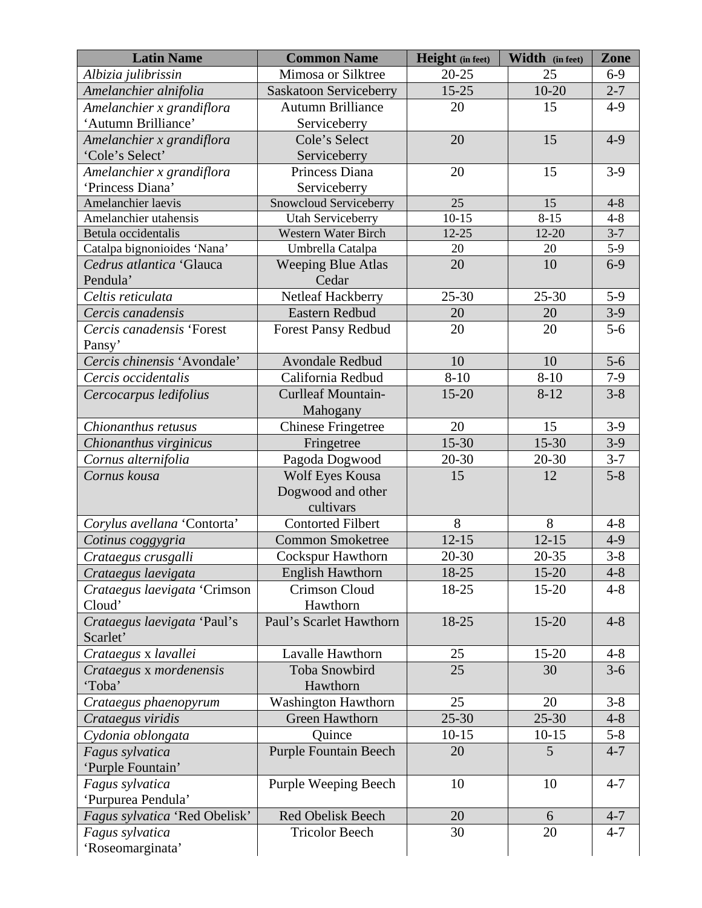| <b>Latin Name</b>                    | <b>Common Name</b>                 | <b>Height</b> (in feet) | Width (in feet) | Zone    |
|--------------------------------------|------------------------------------|-------------------------|-----------------|---------|
| Albizia julibrissin                  | Mimosa or Silktree                 | $20 - 25$               | 25              | $6-9$   |
| Amelanchier alnifolia                | <b>Saskatoon Serviceberry</b>      | $15 - 25$               | $10 - 20$       | $2 - 7$ |
| Amelanchier x grandiflora            | <b>Autumn Brilliance</b>           | 20                      | 15              | $4-9$   |
| 'Autumn Brilliance'                  | Serviceberry                       |                         |                 |         |
| Amelanchier x grandiflora            | Cole's Select                      | 20                      | 15              | $4 - 9$ |
| 'Cole's Select'                      | Serviceberry                       |                         |                 |         |
| Amelanchier x grandiflora            | Princess Diana                     | 20                      | 15              | $3-9$   |
| 'Princess Diana'                     | Serviceberry                       |                         |                 |         |
| Amelanchier laevis                   | Snowcloud Serviceberry             | 25                      | 15              | $4 - 8$ |
| Amelanchier utahensis                | Utah Serviceberry                  | $10-15$                 | $8 - 15$        | $4 - 8$ |
| Betula occidentalis                  | <b>Western Water Birch</b>         | $12 - 25$               | $12 - 20$       | $3 - 7$ |
| Catalpa bignonioides 'Nana'          | Umbrella Catalpa                   | 20                      | 20              | $5-9$   |
| Cedrus atlantica 'Glauca<br>Pendula' | <b>Weeping Blue Atlas</b><br>Cedar | 20                      | 10              | $6-9$   |
| Celtis reticulata                    | Netleaf Hackberry                  | $25 - 30$               | $25 - 30$       | $5-9$   |
| Cercis canadensis                    | <b>Eastern Redbud</b>              | 20                      | 20              | $3-9$   |
| Cercis canadensis 'Forest            | <b>Forest Pansy Redbud</b>         | 20                      | 20              | $5-6$   |
| Pansy'                               |                                    |                         |                 |         |
| Cercis chinensis 'Avondale'          | Avondale Redbud                    | 10                      | 10              | $5-6$   |
| Cercis occidentalis                  | California Redbud                  | $8 - 10$                | $8 - 10$        | $7-9$   |
| Cercocarpus ledifolius               | <b>Curlleaf Mountain-</b>          | $15 - 20$               | $8 - 12$        | $3 - 8$ |
|                                      | Mahogany                           |                         |                 |         |
| Chionanthus retusus                  | <b>Chinese Fringetree</b>          | 20                      | 15              | $3-9$   |
| Chionanthus virginicus               | Fringetree                         | $15 - 30$               | $15 - 30$       | $3-9$   |
| Cornus alternifolia                  | Pagoda Dogwood                     | 20-30                   | $20 - 30$       | $3 - 7$ |
| Cornus kousa                         | Wolf Eyes Kousa                    | 15                      | 12              | $5 - 8$ |
|                                      | Dogwood and other                  |                         |                 |         |
|                                      | cultivars                          |                         |                 |         |
| Corylus avellana 'Contorta'          | <b>Contorted Filbert</b>           | 8                       | 8               | $4 - 8$ |
| Cotinus coggygria                    | <b>Common Smoketree</b>            | $12 - 15$               | $12 - 15$       | $4 - 9$ |
| Crataegus crusgalli                  | <b>Cockspur Hawthorn</b>           | $20 - 30$               | $20 - 35$       | $3 - 8$ |
| Crataegus laevigata                  | <b>English Hawthorn</b>            | 18-25                   | $15 - 20$       | $4 - 8$ |
| Crataegus laevigata 'Crimson         | <b>Crimson Cloud</b>               | 18-25                   | $15 - 20$       | $4 - 8$ |
| Cloud'                               | Hawthorn                           |                         |                 |         |
| Crataegus laevigata 'Paul's          | Paul's Scarlet Hawthorn            | 18-25                   | $15 - 20$       | $4 - 8$ |
| Scarlet'                             |                                    |                         |                 |         |
| Crataegus x lavallei                 | Lavalle Hawthorn                   | 25                      | $15 - 20$       | $4 - 8$ |
| Crataegus x mordenensis              | <b>Toba Snowbird</b>               | 25                      | 30              | $3 - 6$ |
| 'Toba'                               | Hawthorn                           |                         |                 |         |
| Crataegus phaenopyrum                | <b>Washington Hawthorn</b>         | 25                      | 20              | $3 - 8$ |
| Crataegus viridis                    | <b>Green Hawthorn</b>              | $25 - 30$               | $25 - 30$       | $4 - 8$ |
| Cydonia oblongata                    | Quince                             | $10-15$                 | $10 - 15$       | $5 - 8$ |
| Fagus sylvatica                      | <b>Purple Fountain Beech</b>       | 20                      | 5               | $4 - 7$ |
| 'Purple Fountain'                    |                                    |                         |                 |         |
| Fagus sylvatica                      | Purple Weeping Beech               | 10                      | 10              | $4 - 7$ |
| 'Purpurea Pendula'                   |                                    |                         |                 |         |
| Fagus sylvatica 'Red Obelisk'        | <b>Red Obelisk Beech</b>           | 20                      | 6               | $4 - 7$ |
| Fagus sylvatica                      | <b>Tricolor Beech</b>              | 30                      | 20              | $4 - 7$ |
| 'Roseomarginata'                     |                                    |                         |                 |         |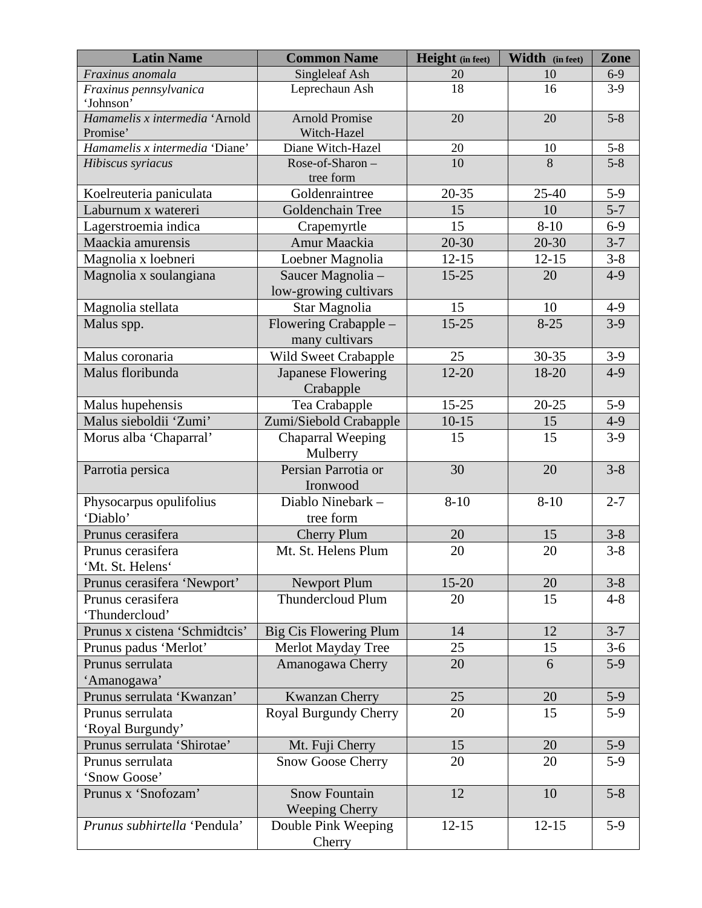| <b>Latin Name</b>                          | <b>Common Name</b>                   | <b>Height</b> (in feet) | Width (in feet) | Zone    |
|--------------------------------------------|--------------------------------------|-------------------------|-----------------|---------|
| Fraxinus anomala                           | Singleleaf Ash                       | 20                      | 10              | $6-9$   |
| Fraxinus pennsylvanica                     | Leprechaun Ash                       | 18                      | 16              | $3-9$   |
| 'Johnson'                                  |                                      |                         |                 |         |
| Hamamelis x intermedia 'Arnold<br>Promise' | <b>Arnold Promise</b><br>Witch-Hazel | 20                      | 20              | $5 - 8$ |
| Hamamelis x intermedia 'Diane'             | Diane Witch-Hazel                    | 20                      | 10              | $5 - 8$ |
| Hibiscus syriacus                          | Rose-of-Sharon-                      | 10                      | 8               | $5 - 8$ |
|                                            | tree form                            |                         |                 |         |
| Koelreuteria paniculata                    | Goldenraintree                       | $20 - 35$               | $25 - 40$       | $5-9$   |
| Laburnum x watereri                        | Goldenchain Tree                     | 15                      | 10              | $5 - 7$ |
| Lagerstroemia indica                       | Crapemyrtle                          | 15                      | $8 - 10$        | $6-9$   |
| Maackia amurensis                          | Amur Maackia                         | $20 - 30$               | 20-30           | $3 - 7$ |
| Magnolia x loebneri                        | Loebner Magnolia                     | $12 - 15$               | $12 - 15$       | $3 - 8$ |
| Magnolia x soulangiana                     | Saucer Magnolia -                    | $15 - 25$               | 20              | $4-9$   |
|                                            | low-growing cultivars                |                         |                 |         |
| Magnolia stellata                          | Star Magnolia                        | 15                      | 10              | $4-9$   |
| Malus spp.                                 | Flowering Crabapple –                | $15 - 25$               | $8 - 25$        | $3-9$   |
|                                            | many cultivars                       |                         |                 |         |
| Malus coronaria                            | Wild Sweet Crabapple                 | 25                      | 30-35           | $3-9$   |
| Malus floribunda                           | <b>Japanese Flowering</b>            | $12 - 20$               | 18-20           | $4-9$   |
|                                            | Crabapple                            |                         |                 |         |
| Malus hupehensis                           | Tea Crabapple                        | $15 - 25$               | $20 - 25$       | $5-9$   |
| Malus sieboldii 'Zumi'                     | Zumi/Siebold Crabapple               | $10-15$                 | 15              | $4-9$   |
| Morus alba 'Chaparral'                     | Chaparral Weeping                    | 15                      | 15              | $3-9$   |
|                                            | Mulberry                             |                         |                 |         |
| Parrotia persica                           | Persian Parrotia or                  | 30                      | 20              | $3 - 8$ |
|                                            | Ironwood<br>Diablo Ninebark -        | $8 - 10$                | $8 - 10$        | $2 - 7$ |
| Physocarpus opulifolius<br>'Diablo'        | tree form                            |                         |                 |         |
| Prunus cerasifera                          | <b>Cherry Plum</b>                   | 20                      | 15              | $3 - 8$ |
| Prunus cerasifera                          | Mt. St. Helens Plum                  | 20                      | 20              | $3 - 8$ |
| Mt. St. Helens'                            |                                      |                         |                 |         |
| Prunus cerasifera 'Newport'                | <b>Newport Plum</b>                  | $15 - 20$               | 20              | $3 - 8$ |
| Prunus cerasifera                          | <b>Thundercloud Plum</b>             | 20                      | 15              | $4 - 8$ |
| 'Thundercloud'                             |                                      |                         |                 |         |
| Prunus x cistena 'Schmidtcis'              | <b>Big Cis Flowering Plum</b>        | 14                      | 12              | $3 - 7$ |
| Prunus padus 'Merlot'                      | Merlot Mayday Tree                   | 25                      | 15              | $3-6$   |
| Prunus serrulata                           | Amanogawa Cherry                     | 20                      | 6               | $5-9$   |
| 'Amanogawa'                                |                                      |                         |                 |         |
| Prunus serrulata 'Kwanzan'                 | <b>Kwanzan Cherry</b>                | 25                      | 20              | $5-9$   |
| Prunus serrulata                           | Royal Burgundy Cherry                | 20                      | 15              | $5-9$   |
| 'Royal Burgundy'                           |                                      |                         |                 |         |
| Prunus serrulata 'Shirotae'                | Mt. Fuji Cherry                      | 15                      | 20              | $5-9$   |
| Prunus serrulata                           | <b>Snow Goose Cherry</b>             | 20                      | 20              | $5-9$   |
| 'Snow Goose'                               |                                      |                         |                 |         |
| Prunus x 'Snofozam'                        | <b>Snow Fountain</b>                 | 12                      | 10              | $5 - 8$ |
|                                            | <b>Weeping Cherry</b>                |                         |                 |         |
| Prunus subhirtella 'Pendula'               | Double Pink Weeping                  | $12 - 15$               | $12 - 15$       | $5-9$   |
|                                            | Cherry                               |                         |                 |         |